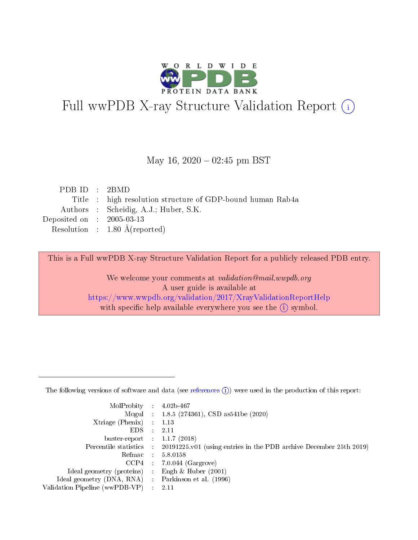

# Full wwPDB X-ray Structure Validation Report (i)

#### May 16,  $2020 - 02:45$  pm BST

| PDBID : 2BMD                                               |
|------------------------------------------------------------|
| Title : high resolution structure of GDP-bound human Rab4a |
| Authors : Scheidig, A.J.; Huber, S.K.                      |
| Deposited on $\therefore$ 2005-03-13                       |
| Resolution : $1.80 \text{ Å}$ (reported)                   |
|                                                            |

This is a Full wwPDB X-ray Structure Validation Report for a publicly released PDB entry.

We welcome your comments at validation@mail.wwpdb.org A user guide is available at <https://www.wwpdb.org/validation/2017/XrayValidationReportHelp> with specific help available everywhere you see the  $(i)$  symbol.

The following versions of software and data (see [references](https://www.wwpdb.org/validation/2017/XrayValidationReportHelp#references)  $(1)$ ) were used in the production of this report:

| MolProbity :                   |               | $4.02b - 467$                                                               |
|--------------------------------|---------------|-----------------------------------------------------------------------------|
|                                |               | Mogul : $1.8.5$ (274361), CSD as 541be (2020)                               |
| $X$ triage (Phenix) :          |               | 1.13                                                                        |
| EDS.                           |               | 2.11                                                                        |
| buster-report : $1.1.7$ (2018) |               |                                                                             |
| Percentile statistics :        |               | $20191225 \text{v}01$ (using entries in the PDB archive December 25th 2019) |
| Refmac :                       |               | 5.8.0158                                                                    |
| $CCP4$ :                       |               | $7.0.044$ (Gargrove)                                                        |
| Ideal geometry (proteins) :    |               | Engh $\&$ Huber (2001)                                                      |
| Ideal geometry (DNA, RNA) :    |               | Parkinson et al. (1996)                                                     |
| Validation Pipeline (wwPDB-VP) | $\mathcal{L}$ | 2.11                                                                        |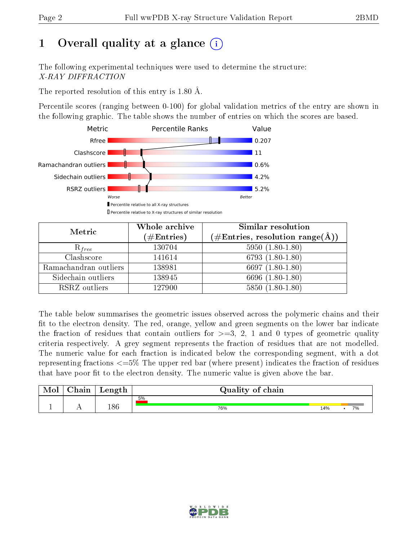## 1 [O](https://www.wwpdb.org/validation/2017/XrayValidationReportHelp#overall_quality)verall quality at a glance  $(i)$

The following experimental techniques were used to determine the structure: X-RAY DIFFRACTION

The reported resolution of this entry is 1.80 Å.

Percentile scores (ranging between 0-100) for global validation metrics of the entry are shown in the following graphic. The table shows the number of entries on which the scores are based.



| Metric                | Whole archive        | <b>Similar resolution</b>                                              |
|-----------------------|----------------------|------------------------------------------------------------------------|
|                       | $(\#\text{Entries})$ | $(\#\text{Entries},\,\text{resolution}\,\,\text{range}(\textup{\AA}))$ |
| $R_{free}$            | 130704               | $5950(1.80-1.80)$                                                      |
| Clashscore            | 141614               | 6793 $(1.80-1.80)$                                                     |
| Ramachandran outliers | 138981               | 6697 $(1.80-1.80)$                                                     |
| Sidechain outliers    | 138945               | 6696 (1.80-1.80)                                                       |
| RSRZ outliers         | 127900               | $5850(1.80-1.80)$                                                      |

The table below summarises the geometric issues observed across the polymeric chains and their fit to the electron density. The red, orange, yellow and green segments on the lower bar indicate the fraction of residues that contain outliers for  $>=3, 2, 1$  and 0 types of geometric quality criteria respectively. A grey segment represents the fraction of residues that are not modelled. The numeric value for each fraction is indicated below the corresponding segment, with a dot representing fractions  $\epsilon=5\%$  The upper red bar (where present) indicates the fraction of residues that have poor fit to the electron density. The numeric value is given above the bar.

| Mol | $\cap$ hain | Length | Quality of chain |     |    |  |  |  |
|-----|-------------|--------|------------------|-----|----|--|--|--|
|     |             |        | 5%               |     |    |  |  |  |
|     | . .         | 186    | 76%              | 14% | 7% |  |  |  |

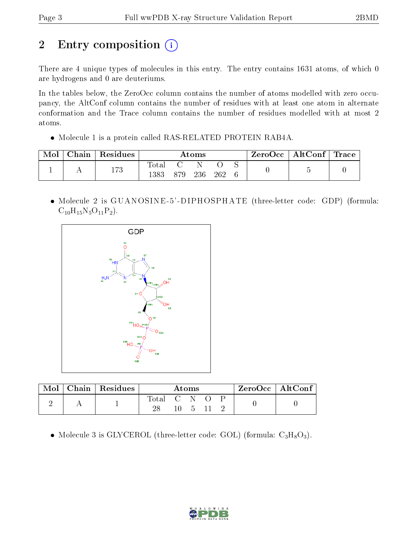# 2 Entry composition (i)

There are 4 unique types of molecules in this entry. The entry contains 1631 atoms, of which 0 are hydrogens and 0 are deuteriums.

In the tables below, the ZeroOcc column contains the number of atoms modelled with zero occupancy, the AltConf column contains the number of residues with at least one atom in alternate conformation and the Trace column contains the number of residues modelled with at most 2 atoms.

• Molecule 1 is a protein called RAS-RELATED PROTEIN RAB4A.

| Mol | $\cap$ hain | $\,$ Residues $\,$ | Atoms         |  |     |     | ZeroOcc | $\vert$ AltConf $\vert$ Trace |  |  |
|-----|-------------|--------------------|---------------|--|-----|-----|---------|-------------------------------|--|--|
|     |             | 173                | Total<br>1383 |  | 236 | 262 |         |                               |  |  |

 Molecule 2 is GUANOSINE -5' -DIPHOSPHATE (three-letter code: GDP) (formula:  $C_{10}H_{15}N_5O_{11}P_2$ .



|  | Chain   Residues | Atoms       |  |  |  | $\rm ZeroOcc \mid AltConf$ |  |  |
|--|------------------|-------------|--|--|--|----------------------------|--|--|
|  |                  | Total C N O |  |  |  |                            |  |  |

• Molecule 3 is GLYCEROL (three-letter code: GOL) (formula:  $C_3H_8O_3$ ).

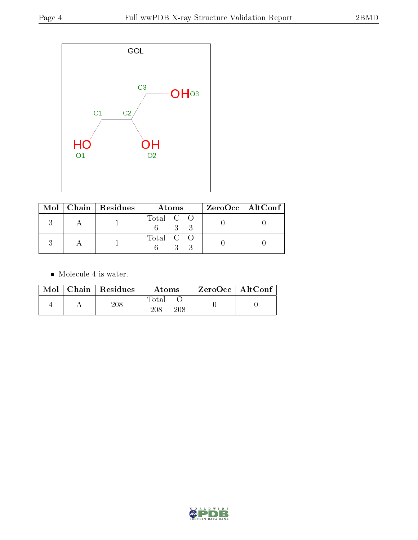

|  | $\text{Mol}$   Chain   Residues | Atoms     | $ZeroOcc \mid AltConf \mid$ |
|--|---------------------------------|-----------|-----------------------------|
|  |                                 | Total C O |                             |
|  |                                 | Total C O |                             |

 $\bullet\,$  Molecule 4 is water.

|  | $Mol$   Chain   Residues | Atoms               | $ZeroOcc \mid AltConf$ |  |
|--|--------------------------|---------------------|------------------------|--|
|  | 208                      | Total<br>208<br>208 |                        |  |

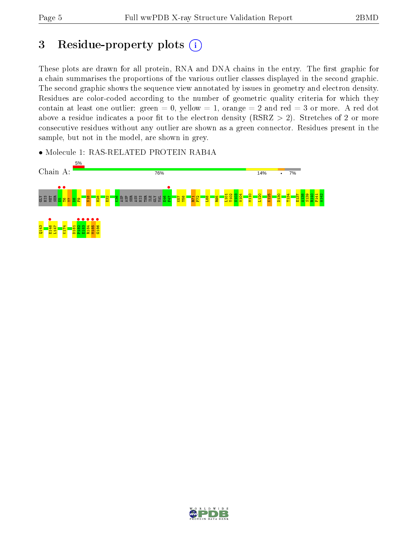## 3 Residue-property plots  $(i)$

These plots are drawn for all protein, RNA and DNA chains in the entry. The first graphic for a chain summarises the proportions of the various outlier classes displayed in the second graphic. The second graphic shows the sequence view annotated by issues in geometry and electron density. Residues are color-coded according to the number of geometric quality criteria for which they contain at least one outlier: green  $= 0$ , yellow  $= 1$ , orange  $= 2$  and red  $= 3$  or more. A red dot above a residue indicates a poor fit to the electron density (RSRZ  $> 2$ ). Stretches of 2 or more consecutive residues without any outlier are shown as a green connector. Residues present in the sample, but not in the model, are shown in grey.

• Molecule 1: RAS-RELATED PROTEIN RAB4A



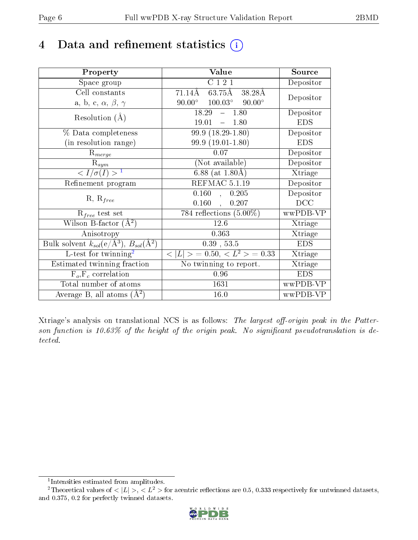## 4 Data and refinement statistics  $(i)$

| Property                                                             | Value                                                        | Source                       |
|----------------------------------------------------------------------|--------------------------------------------------------------|------------------------------|
| Space group                                                          | C121                                                         | Depositor                    |
| Cell constants                                                       | $71.14\overline{\text{A}}$<br>$63.75$ Å<br>$38.28\text{\AA}$ | Depositor                    |
| a, b, c, $\alpha$ , $\beta$ , $\gamma$                               | $100.03^{\circ}$ 90.00°<br>$90.00^\circ$                     |                              |
| Resolution $(A)$                                                     | 18.29<br>$-1.80$                                             | Depositor                    |
|                                                                      | 19.01<br>$-1.80$                                             | <b>EDS</b>                   |
| % Data completeness                                                  | $99.9(18.29-1.80)$                                           | Depositor                    |
| (in resolution range)                                                | $99.9(19.01-1.80)$                                           | <b>EDS</b>                   |
| $R_{merge}$                                                          | 0.07                                                         | Depositor                    |
| $R_{sym}$                                                            | (Not available)                                              | Depositor                    |
| $\langle I/\sigma(I) \rangle^{-1}$                                   | $6.88$ (at 1.80Å)                                            | Xtriage                      |
| Refinement program                                                   | REFMAC 5.1.19                                                | Depositor                    |
|                                                                      | 0.160<br>, 0.205                                             | Depositor                    |
| $R, R_{free}$                                                        | 0.160<br>0.207<br>$\mathcal{A}^{\pm}$                        | DCC                          |
| $R_{free}$ test set                                                  | 784 reflections $(5.00\%)$                                   | wwPDB-VP                     |
| Wilson B-factor $(A^2)$                                              | 12.6                                                         | Xtriage                      |
| Anisotropy                                                           | 0.363                                                        | Xtriage                      |
| Bulk solvent $k_{sol}(e/\mathring{A}^3)$ , $B_{sol}(\mathring{A}^2)$ | $0.39$ , $53.5$                                              | <b>EDS</b>                   |
| L-test for twinning <sup>2</sup>                                     | $< L >$ = 0.50, $< L2$ > = 0.33                              | Xtriage                      |
| Estimated twinning fraction                                          | No twinning to report.                                       | $\overline{\text{X}}$ triage |
| $\overline{F_o}, \overline{F_c}$ correlation                         | 0.96                                                         | <b>EDS</b>                   |
| Total number of atoms                                                | 1631                                                         | wwPDB-VP                     |
| Average B, all atoms $(A^2)$                                         | 16.0                                                         | wwPDB-VP                     |

Xtriage's analysis on translational NCS is as follows: The largest off-origin peak in the Patterson function is 10.63% of the height of the origin peak. No significant pseudotranslation is detected.

<sup>&</sup>lt;sup>2</sup>Theoretical values of  $\langle |L| \rangle$ ,  $\langle L^2 \rangle$  for acentric reflections are 0.5, 0.333 respectively for untwinned datasets, and 0.375, 0.2 for perfectly twinned datasets.



<span id="page-5-1"></span><span id="page-5-0"></span><sup>1</sup> Intensities estimated from amplitudes.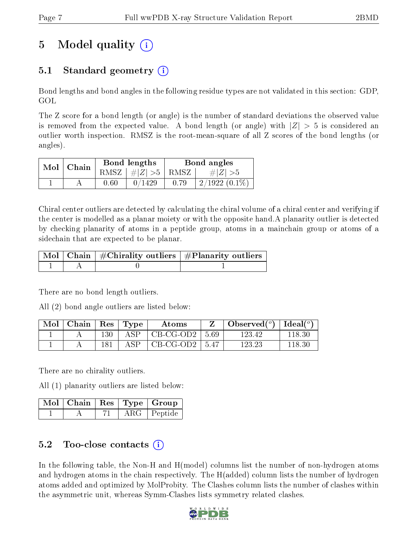## 5 Model quality  $(i)$

### 5.1 Standard geometry (i)

Bond lengths and bond angles in the following residue types are not validated in this section: GDP, GOL

The Z score for a bond length (or angle) is the number of standard deviations the observed value is removed from the expected value. A bond length (or angle) with  $|Z| > 5$  is considered an outlier worth inspection. RMSZ is the root-mean-square of all Z scores of the bond lengths (or angles).

| $Mol$   Chain |      | Bond lengths                            | Bond angles |                 |  |
|---------------|------|-----------------------------------------|-------------|-----------------|--|
|               |      | RMSZ $\mid \#  Z  > 5 \mid$ RMSZ $\mid$ |             | $\# Z  > 5$     |  |
|               | 0.60 | 0/1429                                  | 0.79        | $2/1922(0.1\%)$ |  |

Chiral center outliers are detected by calculating the chiral volume of a chiral center and verifying if the center is modelled as a planar moiety or with the opposite hand.A planarity outlier is detected by checking planarity of atoms in a peptide group, atoms in a mainchain group or atoms of a sidechain that are expected to be planar.

|  | $\mid$ Mol $\mid$ Chain $\mid$ #Chirality outliers $\mid$ #Planarity outliers $\mid$ |
|--|--------------------------------------------------------------------------------------|
|  |                                                                                      |

There are no bond length outliers.

All (2) bond angle outliers are listed below:

| Mol | Chain |     | $\vert$ Res $\vert$ Type | A toms             |      | Observed $(°)$ | $\text{Ideal}(\textsuperscript{o})$ |
|-----|-------|-----|--------------------------|--------------------|------|----------------|-------------------------------------|
|     |       | 130 |                          | $CB-CG-OD2$        | 5.69 | 123.42         |                                     |
|     |       |     |                          | $CB-CG-OD2$   5.47 |      | 123.23         | -118.30-                            |

There are no chirality outliers.

All (1) planarity outliers are listed below:

|  |  | $\sqrt{\text{Mol} \mid \text{Chain}} \mid \text{Res} \mid \text{Type} \mid \text{Group}$ |
|--|--|------------------------------------------------------------------------------------------|
|  |  | ARG   Peptide                                                                            |

### 5.2 Too-close contacts (i)

In the following table, the Non-H and H(model) columns list the number of non-hydrogen atoms and hydrogen atoms in the chain respectively. The H(added) column lists the number of hydrogen atoms added and optimized by MolProbity. The Clashes column lists the number of clashes within the asymmetric unit, whereas Symm-Clashes lists symmetry related clashes.

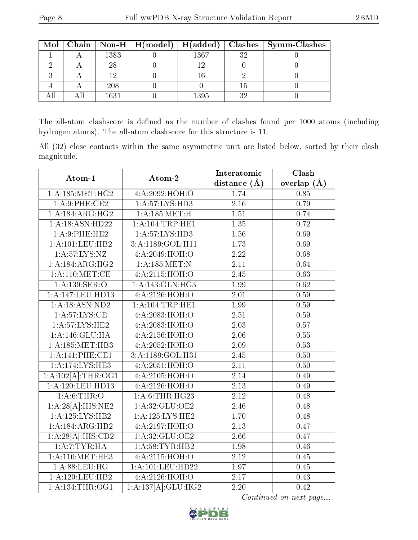|  |      |      |     | Mol   Chain   Non-H   H(model)   H(added)   Clashes   Symm-Clashes |
|--|------|------|-----|--------------------------------------------------------------------|
|  | 1383 | 1367 | 9 ດ |                                                                    |
|  |      |      |     |                                                                    |
|  |      |      |     |                                                                    |
|  | 208  |      |     |                                                                    |
|  | 1631 | 1395 | ງ ເ |                                                                    |

The all-atom clashscore is defined as the number of clashes found per 1000 atoms (including hydrogen atoms). The all-atom clashscore for this structure is 11.

All (32) close contacts within the same asymmetric unit are listed below, sorted by their clash magnitude.

| Atom-1                                 | Atom-2              | Interatomic       | Clash         |  |
|----------------------------------------|---------------------|-------------------|---------------|--|
|                                        |                     | distance $(A)$    | overlap $(A)$ |  |
| 1: A: 185: MET:HG2                     | 4:A:2092:HOH:O      | 1.74              | 0.85          |  |
| $1:A.9:$ PHE:CE2                       | 1:A:57:LYS:HD3      | 2.16              | 0.79          |  |
| 1:A:184:ARG:HG2                        | 1: A: 185:MET:H     | 1.51              | 0.74          |  |
| 1:A:18:ASN:HD22                        | 1: A:104:TRP:HE1    | $\overline{1.35}$ | 0.72          |  |
| 1: A:9:PHE:HE2                         | 1: A:57: LYS: HD3   | 1.56              | 0.69          |  |
| 1: A: 101: LEU: HB2                    | 3:A:1189:GOL:H11    | 1.73              | 0.69          |  |
| 1: A:57:LYS:NZ                         | 4:A:2049:HOH:O      | 2.22              | 0.68          |  |
| 1:A:184:ARG:HG2                        | 1:A:185:MET:N       | 2.11              | 0.64          |  |
| 1: A:110:MET:CE                        | 4:A:2115:HOH:O      | 2.45              | 0.63          |  |
| 1: A: 139: SER: O                      | 1:A:143:GLN:HG3     | 1.99              | 0.62          |  |
| 1:A:147:LEU:HD13                       | 4:A:2126:HOH:O      | $2.01\,$          | 0.59          |  |
| 1: A: 18: ASN: ND2                     | 1: A:104:TRP:HE1    | 1.99              | 0.59          |  |
| 1: A:57:LYS:CE                         | 4: A:2083:HOH:O     | $\overline{2.51}$ | 0.59          |  |
| 1: A:57: LYS: HE2                      | 4:A:2083:HOH:O      | 2.03              | 0.57          |  |
| 1:A:146:GLU:HA                         | 4:A:2156:HOH:O      | 2.06              | 0.55          |  |
| 1: A: 185: MET: HB3                    | 4:A:2052:HOH:O      | 2.09              | 0.53          |  |
| 1:A:141:PHE:CE1                        | 3:A:1189:GOL:H31    | 2.45              | 0.50          |  |
| 1: A:174:LYS:HE3                       | 4:A:2051:HOH:O      | 2.11              | 0.50          |  |
| $1:A:102[\overline{A}]\text{:}THR:OG1$ | 4:A:2105:HOH:O      | $\overline{2.14}$ | 0.49          |  |
| 1:A:120:LEU:HD13                       | 4:A:2126:HOH:O      | 2.13              | 0.49          |  |
| 1: A:6:THR:O                           | 1: A:6:THR:HG23     | 2.12              | 0.48          |  |
| 1:A:28[A]:HIS:NE2                      | 1:A:32:GLU:OE2      | 2.46              | 0.48          |  |
| 1: A: 125: LYS: HB2                    | 1: A: 125: LYS: HE2 | 1.70              | 0.48          |  |
| 1:A:184:ARG:HB2                        | 4:A:2197:HOH:O      | 2.13              | 0.47          |  |
| 1:A:28[A]:HIS:CD2                      | 1: A:32: GLU:OE2    | $\overline{2.66}$ | 0.47          |  |
| 1:A:7:TYR:HA                           | 1: A:58:TYR:HB2     | 1.98              | 0.46          |  |
| 1: A:110:MET:HE3                       | 4:A:2115:HOH:O      | 2.12              | 0.45          |  |
| 1: A:88:LEU:HG                         | 1:A:101:LEU:HD22    | 1.97              | 0.45          |  |
| 1:A:120:LEU:HB2                        | 4:A:2126:HOH:O      | 2.17              | 0.43          |  |
| 1: A: 134: THR: OG1                    | 1:A:137[A]:GLU:HG2  | 2.20              | 0.42          |  |

Continued on next page...

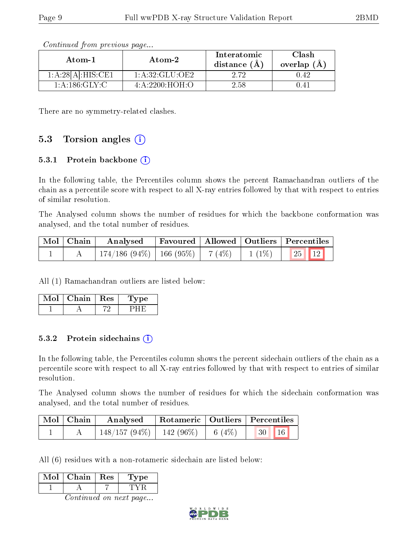| Atom-1            | Atom-2           | Interatomic<br>distance $(A)$ | Clash<br>overlap (A |
|-------------------|------------------|-------------------------------|---------------------|
| 1:A:28[A]:HIS:CE1 | 1: A:32: GLU:OE2 | 9.79                          | 0.42                |
| 1: A: 186: GLY: C | 4: A:2200:HOH:O  | 2.58                          |                     |

Continued from previous page...

There are no symmetry-related clashes.

#### 5.3 Torsion angles  $(i)$

#### 5.3.1 Protein backbone  $(i)$

In the following table, the Percentiles column shows the percent Ramachandran outliers of the chain as a percentile score with respect to all X-ray entries followed by that with respect to entries of similar resolution.

The Analysed column shows the number of residues for which the backbone conformation was analysed, and the total number of residues.

| $\mid$ Mol $\mid$ Chain $\mid$ | $\blacksquare$ Analysed                                     |  | Favoured   Allowed   Outliers   Percentiles |  |
|--------------------------------|-------------------------------------------------------------|--|---------------------------------------------|--|
|                                | $174/186$ (94\%)   166 (95\%)   7 (4\%)   1 (1\%)   25   12 |  |                                             |  |

All (1) Ramachandran outliers are listed below:

| $Mol$   Chain   Res | '1 ype |
|---------------------|--------|
|                     |        |

#### 5.3.2 Protein sidechains  $(i)$

In the following table, the Percentiles column shows the percent sidechain outliers of the chain as a percentile score with respect to all X-ray entries followed by that with respect to entries of similar resolution.

The Analysed column shows the number of residues for which the sidechain conformation was analysed, and the total number of residues.

| Mol   Chain | Analysed                                |  | Rotameric   Outliers   Percentiles |  |
|-------------|-----------------------------------------|--|------------------------------------|--|
|             | $148/157 (94\%)$   142 (96\%)   6 (4\%) |  | 16<br>$\sqrt{30}$                  |  |

All (6) residues with a non-rotameric sidechain are listed below:

| Mol                           | Chain | $\mid$ Res | Type' |  |  |  |  |  |  |
|-------------------------------|-------|------------|-------|--|--|--|--|--|--|
|                               |       |            | TV R  |  |  |  |  |  |  |
| <i>Continued on next page</i> |       |            |       |  |  |  |  |  |  |

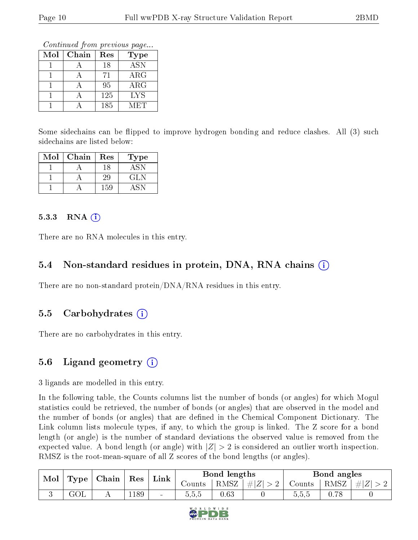Continued from previous page...

| Mol | Chain | Res | Type       |
|-----|-------|-----|------------|
|     |       | 18  | <b>ASN</b> |
|     |       | 71  | $\rm{ARG}$ |
|     |       | 95  | ARG        |
|     |       | 125 | <b>LYS</b> |
|     |       | 185 | MET        |

Some sidechains can be flipped to improve hydrogen bonding and reduce clashes. All (3) such sidechains are listed below:

| Mol | Chain | Res | 'Type |
|-----|-------|-----|-------|
|     |       | 18  | ASN   |
|     |       | 29  | GLN   |
|     |       | 159 |       |

#### 5.3.3 RNA  $(i)$

There are no RNA molecules in this entry.

#### 5.4 Non-standard residues in protein, DNA, RNA chains  $(i)$

There are no non-standard protein/DNA/RNA residues in this entry.

#### 5.5 Carbohydrates  $(i)$

There are no carbohydrates in this entry.

### 5.6 Ligand geometry (i)

3 ligands are modelled in this entry.

In the following table, the Counts columns list the number of bonds (or angles) for which Mogul statistics could be retrieved, the number of bonds (or angles) that are observed in the model and the number of bonds (or angles) that are defined in the Chemical Component Dictionary. The Link column lists molecule types, if any, to which the group is linked. The Z score for a bond length (or angle) is the number of standard deviations the observed value is removed from the expected value. A bond length (or angle) with  $|Z| > 2$  is considered an outlier worth inspection. RMSZ is the root-mean-square of all Z scores of the bond lengths (or angles).

| Mol | Type | $\mid$ Chain $\mid$ | Res  | Link           |        | Bond lengths |         |          | Bond angles |         |
|-----|------|---------------------|------|----------------|--------|--------------|---------|----------|-------------|---------|
|     |      |                     |      |                | Counts | RMSZ         | $\# Z $ | Counts - | RMSZ        | $\# Z $ |
|     | GOL  |                     | .189 | $\blacksquare$ | 5.5.5  | 0.63         |         | b.b.b    | 0.78        |         |

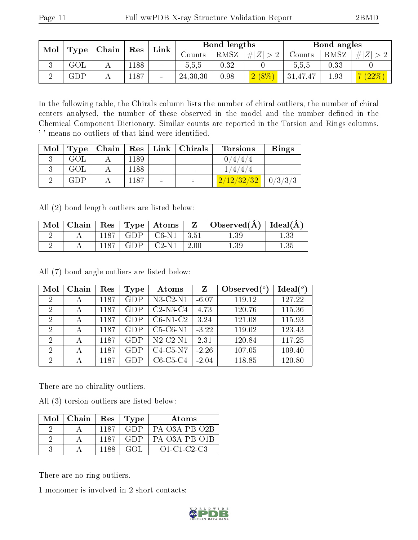| Mol<br>$\mid$ Chain $\mid$ Res<br>Type <sub>1</sub> |  |      | Link            |            | Bond lengths |          |          | Bond angles |          |
|-----------------------------------------------------|--|------|-----------------|------------|--------------|----------|----------|-------------|----------|
|                                                     |  |      |                 | Counts     | RMSZ         | # Z      | Counts   | RMSZ        | $\# Z $  |
| GOL                                                 |  | .188 | $\sim$          | 5,5,5      | $0.32\,$     |          | 0.5.5    | 0.33        |          |
| ${\rm GDP}$                                         |  | 1187 | $\qquad \qquad$ | 24, 30, 30 | 0.98         | $2(8\%)$ | 31,47,47 | 1.93        | $(22\%)$ |

In the following table, the Chirals column lists the number of chiral outliers, the number of chiral centers analysed, the number of these observed in the model and the number defined in the Chemical Component Dictionary. Similar counts are reported in the Torsion and Rings columns. '-' means no outliers of that kind were identified.

| Mol | Type       | Chain | $R$ es $\perp$ | Link   | Chirals | <b>Torsions</b> | Rings   |
|-----|------------|-------|----------------|--------|---------|-----------------|---------|
|     | GOL        |       | 1189           | $\sim$ |         | 0/4/4/          |         |
|     | <b>GOL</b> |       | 1188           | $\sim$ |         | 1/4/4/4         |         |
|     | GDP        |       | 1187           |        |         | 2/12/32/32      | 0/3/3/3 |

All (2) bond length outliers are listed below:

| Mol | Chain |      |            | $\text{Res}$   $\text{Type}$   $\text{Atoms}$ | Z           | $\perp$ Observed( $\AA$ ) $\perp$ | Ideal $(A)$ |
|-----|-------|------|------------|-----------------------------------------------|-------------|-----------------------------------|-------------|
|     |       | 1187 | <b>GDP</b> | $^{\circ}$ C6-N1 $^{\circ}$                   | $\mid 3.51$ |                                   |             |
|     |       | 1187 | GDP        | $C2-N1$                                       | -2.00       |                                   |             |

All (7) bond angle outliers are listed below:

| Mol            | Chain | Res  | Type       | Atoms          | Z       | Observed $(°)$ | Ideal(°) |
|----------------|-------|------|------------|----------------|---------|----------------|----------|
| $\overline{2}$ |       | 1187 | GDP        | $N3$ -C2- $N1$ | $-6.07$ | 119.12         | 127.22   |
| $\mathcal{P}$  | А     | 1187 | GDP        | $C2-N3-C4$     | 4.73    | 120.76         | 115.36   |
| $\overline{2}$ | А     | 1187 | <b>GDP</b> | $C6-N1-C2$     | 3.24    | 121.08         | 115.93   |
| $\overline{2}$ | А     | 1187 | GDP        | $C5-C6-N1$     | $-3.22$ | 119.02         | 123.43   |
| $\mathcal{D}$  |       | 1187 | <b>GDP</b> | $N2-C2-N1$     | 2.31    | 120.84         | 117.25   |
| $\overline{2}$ | А     | 1187 | <b>GDP</b> | $C4-C5-N7$     | $-2.26$ | 107.05         | 109.40   |
| 2              |       | 1187 | GDP        | $C6-C5-C4$     | $-2.04$ | 118.85         | 120.80   |

There are no chirality outliers.

All (3) torsion outliers are listed below:

| Mol∣Chain |      | Res   Type | Atoms               |
|-----------|------|------------|---------------------|
|           | 1187 | GDP        | $PA-O3A-PB-O2B$     |
|           | 1187 | GDP        | $PA-O3A-PB-O1B$     |
|           |      | GOL.       | $O1 - C1 - C2 - C3$ |

There are no ring outliers.

1 monomer is involved in 2 short contacts:

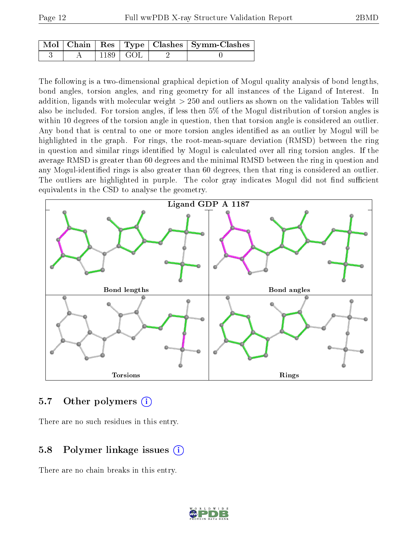|  |                        | $\mid$ Mol $\mid$ Chain $\mid$ Res $\mid$ Type $\mid$ Clashes $\mid$ Symm-Clashes $\mid$ |
|--|------------------------|------------------------------------------------------------------------------------------|
|  | $1189 \mid \text{GOL}$ |                                                                                          |

The following is a two-dimensional graphical depiction of Mogul quality analysis of bond lengths, bond angles, torsion angles, and ring geometry for all instances of the Ligand of Interest. In addition, ligands with molecular weight > 250 and outliers as shown on the validation Tables will also be included. For torsion angles, if less then 5% of the Mogul distribution of torsion angles is within 10 degrees of the torsion angle in question, then that torsion angle is considered an outlier. Any bond that is central to one or more torsion angles identified as an outlier by Mogul will be highlighted in the graph. For rings, the root-mean-square deviation (RMSD) between the ring in question and similar rings identified by Mogul is calculated over all ring torsion angles. If the average RMSD is greater than 60 degrees and the minimal RMSD between the ring in question and any Mogul-identified rings is also greater than 60 degrees, then that ring is considered an outlier. The outliers are highlighted in purple. The color gray indicates Mogul did not find sufficient equivalents in the CSD to analyse the geometry.



#### 5.7 [O](https://www.wwpdb.org/validation/2017/XrayValidationReportHelp#nonstandard_residues_and_ligands)ther polymers (i)

There are no such residues in this entry.

### 5.8 Polymer linkage issues (i)

There are no chain breaks in this entry.

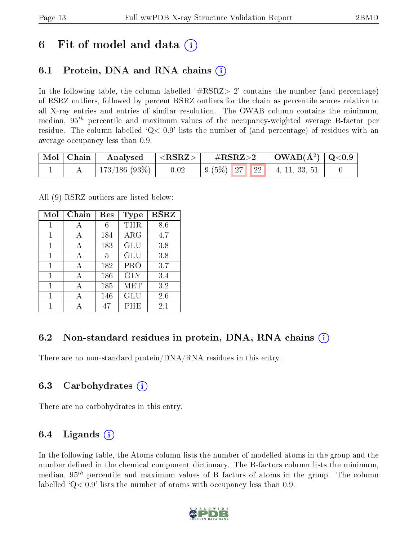### 6 Fit of model and data  $\left( \cdot \right)$

### 6.1 Protein, DNA and RNA chains (i)

In the following table, the column labelled  $#RSRZ>2'$  contains the number (and percentage) of RSRZ outliers, followed by percent RSRZ outliers for the chain as percentile scores relative to all X-ray entries and entries of similar resolution. The OWAB column contains the minimum, median,  $95<sup>th</sup>$  percentile and maximum values of the occupancy-weighted average B-factor per residue. The column labelled  $Q< 0.9$  lists the number of (and percentage) of residues with an average occupancy less than 0.9.

| Mol   Chain | Analysed                   | $^{\shortmid} < \rm{RSRZ} > \parallel$ | $\rm \#RSRZ{>}2$ |  | $\mid$ OWAB(Å <sup>2</sup> ) $\mid$ Q<0.9 $\mid$                                                      |  |
|-------------|----------------------------|----------------------------------------|------------------|--|-------------------------------------------------------------------------------------------------------|--|
|             | $^+$ 173/186 (93%) $\vert$ | 0.02                                   |                  |  | $\begin{array}{ c c c c c c c c c } \hline 9 & (5\%) & 27 & 22 & 4, 11, 33, 51 \\ \hline \end{array}$ |  |

All (9) RSRZ outliers are listed below:

| Mol | $Chain$      | Res | Type       | <b>RSRZ</b> |
|-----|--------------|-----|------------|-------------|
| 1   | А            | 6   | THR        | 8.6         |
| 1   | A            | 184 | $\rm{ARG}$ | 4.7         |
| 1   | А            | 183 | GLU        | 3.8         |
| 1   | А            | 5   | <b>GLU</b> | 3.8         |
| 1   | A            | 182 | PRO        | 3.7         |
| 1   | А            | 186 | <b>GLY</b> | 3.4         |
| 1   | А            | 185 | MET        | 3.2         |
| 1   | $\mathsf{A}$ | 146 | <b>GLU</b> | 2.6         |
|     |              | 47  | PHE        | 2.1         |

### 6.2 Non-standard residues in protein, DNA, RNA chains  $(i)$

There are no non-standard protein/DNA/RNA residues in this entry.

#### 6.3 Carbohydrates (i)

There are no carbohydrates in this entry.

### 6.4 Ligands  $(i)$

In the following table, the Atoms column lists the number of modelled atoms in the group and the number defined in the chemical component dictionary. The B-factors column lists the minimum, median,  $95<sup>th</sup>$  percentile and maximum values of B factors of atoms in the group. The column labelled  $Q< 0.9$  lists the number of atoms with occupancy less than 0.9.